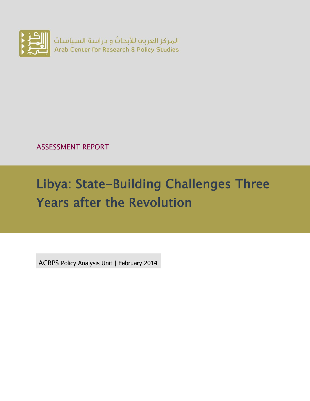

ASSESSMENT REPORT

# Libya: State-Building Challenges Three Years after the Revolution

ACRPS Policy Analysis Unit | February 2014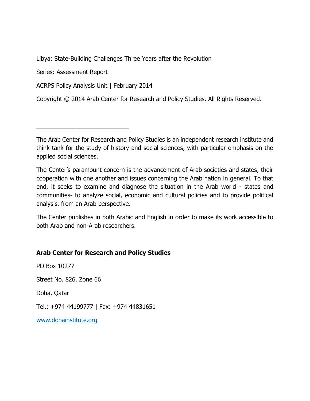Libya: State-Building Challenges Three Years after the Revolution

Series: Assessment Report

ACRPS Policy Analysis Unit | February 2014

\_\_\_\_\_\_\_\_\_\_\_\_\_\_\_\_\_\_\_\_\_\_\_\_\_\_\_\_

Copyright © 2014 Arab Center for Research and Policy Studies. All Rights Reserved.

The Arab Center for Research and Policy Studies is an independent research institute and think tank for the study of history and social sciences, with particular emphasis on the applied social sciences.

The Center's paramount concern is the advancement of Arab societies and states, their cooperation with one another and issues concerning the Arab nation in general. To that end, it seeks to examine and diagnose the situation in the Arab world - states and communities- to analyze social, economic and cultural policies and to provide political analysis, from an Arab perspective.

The Center publishes in both Arabic and English in order to make its work accessible to both Arab and non-Arab researchers.

#### **Arab Center for Research and Policy Studies**

PO Box 10277

Street No. 826, Zone 66

Doha, Qatar

Tel.: +974 44199777 | Fax: +974 44831651

[www.dohainstitute.org](file:///C:/Users/dena.qaddumi/Desktop/www.dohainstitute.org)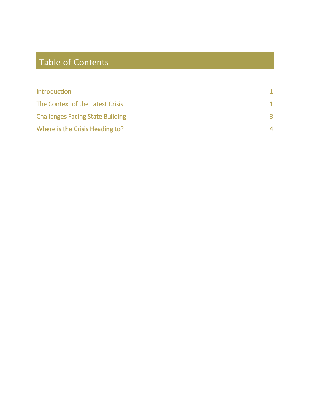# Table of Contents

| <b>Introduction</b>                     |   |
|-----------------------------------------|---|
| The Context of the Latest Crisis        |   |
| <b>Challenges Facing State Building</b> | 3 |
| Where is the Crisis Heading to?         | 4 |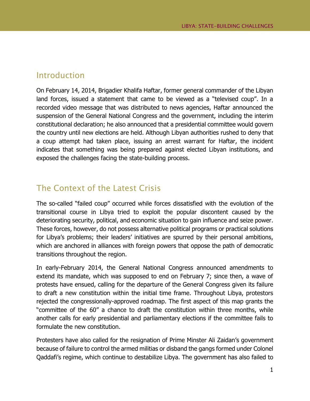#### <span id="page-3-0"></span>Introduction

On February 14, 2014, Brigadier Khalifa Haftar, former general commander of the Libyan land forces, issued a statement that came to be viewed as a "televised coup". In a recorded video message that was distributed to news agencies, Haftar announced the suspension of the General National Congress and the government, including the interim constitutional declaration; he also announced that a presidential committee would govern the country until new elections are held. Although Libyan authorities rushed to deny that a coup attempt had taken place, issuing an arrest warrant for Haftar, the incident indicates that something was being prepared against elected Libyan institutions, and exposed the challenges facing the state-building process.

## <span id="page-3-1"></span>The Context of the Latest Crisis

The so-called "failed coup" occurred while forces dissatisfied with the evolution of the transitional course in Libya tried to exploit the popular discontent caused by the deteriorating security, political, and economic situation to gain influence and seize power. These forces, however, do not possess alternative political programs or practical solutions for Libya's problems; their leaders' initiatives are spurred by their personal ambitions, which are anchored in alliances with foreign powers that oppose the path of democratic transitions throughout the region.

In early-February 2014, the General National Congress announced amendments to extend its mandate, which was supposed to end on February 7; since then, a wave of protests have ensued, calling for the departure of the General Congress given its failure to draft a new constitution within the initial time frame. Throughout Libya, protestors rejected the congressionally-approved roadmap. The first aspect of this map grants the "committee of the 60" a chance to draft the constitution within three months, while another calls for early presidential and parliamentary elections if the committee fails to formulate the new constitution.

Protesters have also called for the resignation of Prime Minster Ali Zaidan's government because of failure to control the armed militias or disband the gangs formed under Colonel Qaddafi's regime, which continue to destabilize Libya. The government has also failed to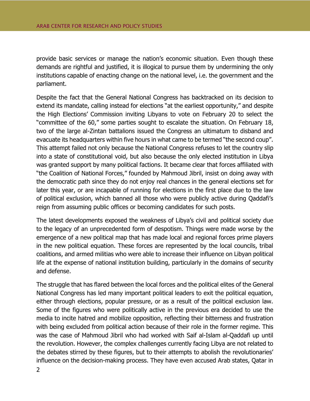provide basic services or manage the nation's economic situation. Even though these demands are rightful and justified, it is illogical to pursue them by undermining the only institutions capable of enacting change on the national level, i.e. the government and the parliament.

Despite the fact that the General National Congress has backtracked on its decision to extend its mandate, calling instead for elections "at the earliest opportunity," and despite the High Elections' Commission inviting Libyans to vote on February 20 to select the "committee of the 60," some parties sought to escalate the situation. On February 18, two of the large al-Zintan battalions issued the Congress an ultimatum to disband and evacuate its headquarters within five hours in what came to be termed "the second coup". This attempt failed not only because the National Congress refuses to let the country slip into a state of constitutional void, but also because the only elected institution in Libya was granted support by many political factions. It became clear that forces affiliated with "the Coalition of National Forces," founded by Mahmoud Jibril, insist on doing away with the democratic path since they do not enjoy real chances in the general elections set for later this year, or are incapable of running for elections in the first place due to the law of political exclusion, which banned all those who were publicly active during Qaddafi's reign from assuming public offices or becoming candidates for such posts.

The latest developments exposed the weakness of Libya's civil and political society due to the legacy of an unprecedented form of despotism. Things were made worse by the emergence of a new political map that has made local and regional forces prime players in the new political equation. These forces are represented by the local councils, tribal coalitions, and armed militias who were able to increase their influence on Libyan political life at the expense of national institution building, particularly in the domains of security and defense.

The struggle that has flared between the local forces and the political elites of the General National Congress has led many important political leaders to exit the political equation, either through elections, popular pressure, or as a result of the political exclusion law. Some of the figures who were politically active in the previous era decided to use the media to incite hatred and mobilize opposition, reflecting their bitterness and frustration with being excluded from political action because of their role in the former regime. This was the case of Mahmoud Jibril who had worked with Saif al-Islam al-Qaddafi up until the revolution. However, the complex challenges currently facing Libya are not related to the debates stirred by these figures, but to their attempts to abolish the revolutionaries' influence on the decision-making process. They have even accused Arab states, Qatar in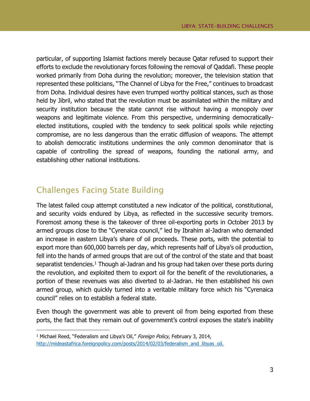particular, of supporting Islamist factions merely because Qatar refused to support their efforts to exclude the revolutionary forces following the removal of Qaddafi. These people worked primarily from Doha during the revolution; moreover, the television station that represented these politicians, "The Channel of Libya for the Free," continues to broadcast from Doha. Individual desires have even trumped worthy political stances, such as those held by Jibril, who stated that the revolution must be assimilated within the military and security institution because the state cannot rise without having a monopoly over weapons and legitimate violence. From this perspective, undermining democraticallyelected institutions, coupled with the tendency to seek political spoils while rejecting compromise, are no less dangerous than the erratic diffusion of weapons. The attempt to abolish democratic institutions undermines the only common denominator that is capable of controlling the spread of weapons, founding the national army, and establishing other national institutions.

# <span id="page-5-0"></span>Challenges Facing State Building

 $\overline{a}$ 

The latest failed coup attempt constituted a new indicator of the political, constitutional, and security voids endured by Libya, as reflected in the successive security tremors. Foremost among these is the takeover of three oil-exporting ports in October 2013 by armed groups close to the "Cyrenaica council," led by Ibrahim al-Jadran who demanded an increase in eastern Libya's share of oil proceeds. These ports, with the potential to export more than 600,000 barrels per day, which represents half of Libya's oil production, fell into the hands of armed groups that are out of the control of the state and that boast separatist tendencies.<sup>1</sup> Though al-Jadran and his group had taken over these ports during the revolution, and exploited them to export oil for the benefit of the revolutionaries, a portion of these revenues was also diverted to al-Jadran. He then established his own armed group, which quickly turned into a veritable military force which his "Cyrenaica council" relies on to establish a federal state.

Even though the government was able to prevent oil from being exported from these ports, the fact that they remain out of government's control exposes the state's inability

<sup>&</sup>lt;sup>1</sup> Michael Reed, "Federalism and Libya's Oil," Foreign Policy, February 3, 2014, [http://mideastafrica.foreignpolicy.com/posts/2014/02/03/federalism\\_and\\_libyas\\_oil.](http://mideastafrica.foreignpolicy.com/posts/2014/02/03/federalism_and_libyas_oil.)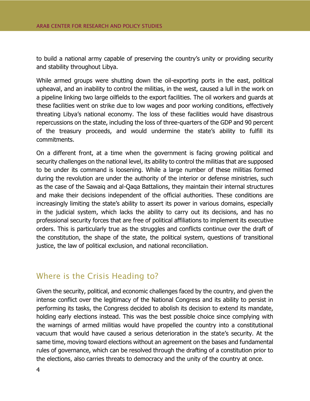to build a national army capable of preserving the country's unity or providing security and stability throughout Libya.

While armed groups were shutting down the oil-exporting ports in the east, political upheaval, and an inability to control the militias, in the west, caused a lull in the work on a pipeline linking two large oilfields to the export facilities. The oil workers and guards at these facilities went on strike due to low wages and poor working conditions, effectively threating Libya's national economy. The loss of these facilities would have disastrous repercussions on the state, including the loss of three-quarters of the GDP and 90 percent of the treasury proceeds, and would undermine the state's ability to fulfill its commitments.

On a different front, at a time when the government is facing growing political and security challenges on the national level, its ability to control the militias that are supposed to be under its command is loosening. While a large number of these militias formed during the revolution are under the authority of the interior or defense ministries, such as the case of the Sawaiq and al-Qaqa Battalions, they maintain their internal structures and make their decisions independent of the official authorities. These conditions are increasingly limiting the state's ability to assert its power in various domains, especially in the judicial system, which lacks the ability to carry out its decisions, and has no professional security forces that are free of political affiliations to implement its executive orders. This is particularly true as the struggles and conflicts continue over the draft of the constitution, the shape of the state, the political system, questions of transitional justice, the law of political exclusion, and national reconciliation.

### <span id="page-6-0"></span>Where is the Crisis Heading to?

Given the security, political, and economic challenges faced by the country, and given the intense conflict over the legitimacy of the National Congress and its ability to persist in performing its tasks, the Congress decided to abolish its decision to extend its mandate, holding early elections instead. This was the best possible choice since complying with the warnings of armed militias would have propelled the country into a constitutional vacuum that would have caused a serious deterioration in the state's security. At the same time, moving toward elections without an agreement on the bases and fundamental rules of governance, which can be resolved through the drafting of a constitution prior to the elections, also carries threats to democracy and the unity of the country at once.